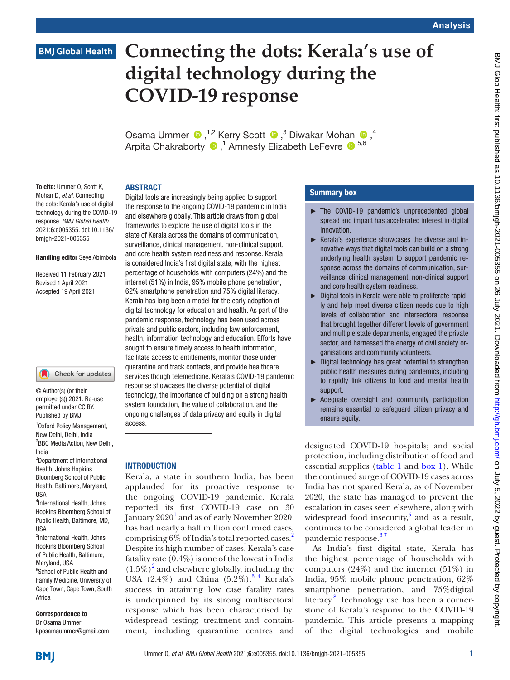# **Connecting the dots: Kerala's use of digital technology during the COVID-19 response**

OsamaUmmer  $\bigcirc$ ,<sup>1,2</sup> Kerry Scott  $\bigcirc$ ,<sup>3</sup> Diwakar Mohan  $\bigcirc$ ,<sup>4</sup> ArpitaChakraborty <sup>1</sup>, Amnesty Elizabeth LeFevre <sup>15,6</sup>

#### ABSTRACT

To cite: Ummer O, Scott K, Mohan D, *et al*. Connecting the dots: Kerala's use of digital technology during the COVID-19 response. *BMJ Global Health* 2021;6:e005355. doi:10.1136/ bmjgh-2021-005355

#### Handling editor Seye Abimbola

Received 11 February 2021 Revised 1 April 2021 Accepted 19 April 2021

#### Check for updates

© Author(s) (or their employer(s)) 2021. Re-use permitted under CC BY. Published by BMJ.

1 Oxford Policy Management, New Delhi, Delhi, India <sup>2</sup>BBC Media Action, New Delhi, India

3 Department of International Health, Johns Hopkins Bloomberg School of Public Health, Baltimore, Maryland, USA

4 International Health, Johns Hopkins Bloomberg School of Public Health, Baltimore, MD, USA

5 International Health, Johns Hopkins Bloomberg School of Public Health, Baltimore, Maryland, USA <sup>6</sup>School of Public Health and Family Medicine, University of Cape Town, Cape Town, South Africa

Correspondence to Dr Osama Ummer; kposamaummer@gmail.com

Digital tools are increasingly being applied to support the response to the ongoing COVID-19 pandemic in India and elsewhere globally. This article draws from global frameworks to explore the use of digital tools in the state of Kerala across the domains of communication, surveillance, clinical management, non-clinical support, and core health system readiness and response. Kerala is considered India's first digital state, with the highest percentage of households with computers (24%) and the internet (51%) in India, 95% mobile phone penetration, 62% smartphone penetration and 75% digital literacy. Kerala has long been a model for the early adoption of digital technology for education and health. As part of the pandemic response, technology has been used across private and public sectors, including law enforcement, health, information technology and education. Efforts have sought to ensure timely access to health information, facilitate access to entitlements, monitor those under quarantine and track contacts, and provide healthcare services though telemedicine. Kerala's COVID-19 pandemic response showcases the diverse potential of digital technology, the importance of building on a strong health system foundation, the value of collaboration, and the ongoing challenges of data privacy and equity in digital access.

#### **INTRODUCTION**

Kerala, a state in southern India, has been applauded for its proactive response to the ongoing COVID-19 pandemic. Kerala reported its first COVID-19 case on 30 January  $2020<sup>1</sup>$  $2020<sup>1</sup>$  $2020<sup>1</sup>$  and as of early November 2020, has had nearly a half million confirmed cases, comprising 6% of India's total reported cases.[2](#page-11-1) Despite its high number of cases, Kerala's case fatality rate (0.4%) is one of the lowest in India  $(1.5\%)^2$  $(1.5\%)^2$  and elsewhere globally, including the USA  $(2.4\%)$  and China  $(5.2\%)$ .<sup>3</sup> Kerala's success in attaining low case fatality rates is underpinned by its strong multisectoral response which has been characterised by: widespread testing; treatment and containment, including quarantine centres and

#### Summary box

- ► The COVID-19 pandemic's unprecedented global spread and impact has accelerated interest in digital innovation.
- ► Kerala's experience showcases the diverse and innovative ways that digital tools can build on a strong underlying health system to support pandemic response across the domains of communication, surveillance, clinical management, non-clinical support and core health system readiness.
- ► Digital tools in Kerala were able to proliferate rapidly and help meet diverse citizen needs due to high levels of collaboration and intersectoral response that brought together different levels of government and multiple state departments, engaged the private sector, and harnessed the energy of civil society organisations and community volunteers.
- ► Digital technology has great potential to strengthen public health measures during pandemics, including to rapidly link citizens to food and mental health support.
- ► Adequate oversight and community participation remains essential to safeguard citizen privacy and ensure equity.

designated COVID-19 hospitals; and social protection, including distribution of food and essential supplies [\(table](#page-1-0) 1 and [box](#page-1-1) 1). While the continued surge of COVID-19 cases across India has not spared Kerala, as of November 2020, the state has managed to prevent the escalation in cases seen elsewhere, along with widespread food insecurity, $5$  and as a result, continues to be considered a global leader in pandemic response.<sup>67</sup>

As India's first digital state, Kerala has the highest percentage of households with computers  $(24%)$  and the internet  $(51%)$  in India, 95% mobile phone penetration, 62% smartphone penetration, and 75%digital literacy.<sup>8</sup> Technology use has been a cornerstone of Kerala's response to the COVID-19 pandemic. This article presents a mapping of the digital technologies and mobile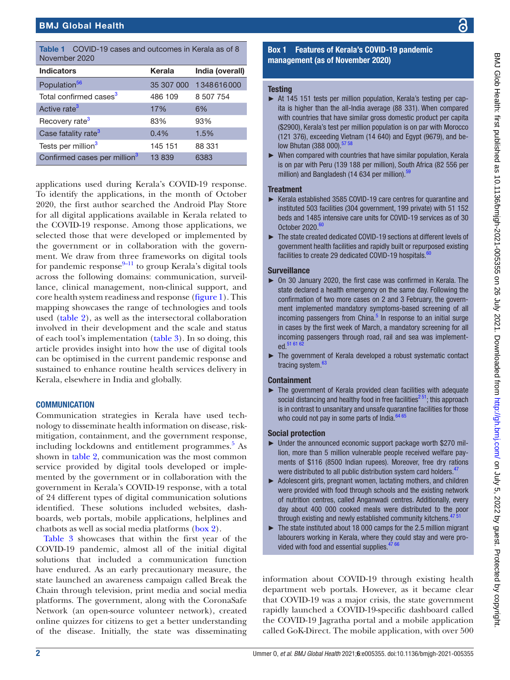<span id="page-1-0"></span>

|               | <b>Table 1</b> COVID-19 cases and outcomes in Kerala as of 8 |
|---------------|--------------------------------------------------------------|
| November 2020 |                                                              |

| <b>Indicators</b>                        | Kerala     | India (overall) |
|------------------------------------------|------------|-----------------|
| Population <sup>56</sup>                 | 35 307 000 | 1348616000      |
| Total confirmed cases <sup>3</sup>       | 486 109    | 8 507 754       |
| Active rate <sup>3</sup>                 | 17%        | 6%              |
| Recovery rate <sup>3</sup>               | 83%        | 93%             |
| Case fatality rate <sup>3</sup>          | 0.4%       | 1.5%            |
| Tests per million <sup>3</sup>           | 145 151    | 88 331          |
| Confirmed cases per million <sup>3</sup> | 13839      | 6383            |

applications used during Kerala's COVID-19 response. To identify the applications, in the month of October 2020, the first author searched the Android Play Store for all digital applications available in Kerala related to the COVID-19 response. Among those applications, we selected those that were developed or implemented by the government or in collaboration with the government. We draw from three frameworks on digital tools for pandemic response $9-11$  to group Kerala's digital tools across the following domains: communication, surveillance, clinical management, non-clinical support, and core health system readiness and response ([figure](#page-2-0) 1). This mapping showcases the range of technologies and tools used [\(table](#page-3-0) 2), as well as the intersectoral collaboration involved in their development and the scale and status of each tool's implementation ([table](#page-7-0) 3). In so doing, this article provides insight into how the use of digital tools can be optimised in the current pandemic response and sustained to enhance routine health services delivery in Kerala, elsewhere in India and globally.

#### **COMMUNICATION**

Communication strategies in Kerala have used technology to disseminate health information on disease, riskmitigation, containment, and the government response, including lockdowns and entitlement programmes.<sup>[5](#page-12-1)</sup> As shown in [table](#page-3-0) 2, communication was the most common service provided by digital tools developed or implemented by the government or in collaboration with the government in Kerala's COVID-19 response, with a total of 24 different types of digital communication solutions identified. These solutions included websites, dashboards, web portals, mobile applications, helplines and chatbots as well as social media platforms ([box](#page-9-0) 2).

[Table](#page-7-0) 3 showcases that within the first year of the COVID-19 pandemic, almost all of the initial digital solutions that included a communication function have endured. As an early precautionary measure, the state launched an awareness campaign called Break the Chain through television, print media and social media platforms. The government, along with the CoronaSafe Network (an open-source volunteer network), created online quizzes for citizens to get a better understanding of the disease. Initially, the state was disseminating

#### Box 1 Features of Kerala's COVID-19 pandemic management (as of November 2020)

#### <span id="page-1-1"></span>**Testing**

- ► At 145 151 tests per million population, Kerala's testing per capita is higher than the all-India average (88 331). When compared with countries that have similar gross domestic product per capita (\$2900), Kerala's test per million population is on par with Morocco (121 376), exceeding Vietnam (14 640) and Egypt (9679), and below Bhutan (388 000).<sup>57 58</sup>
- $\triangleright$  When compared with countries that have similar population, Kerala is on par with Peru (139 188 per million), South Africa (82 556 per million) and Bangladesh (14 634 per million).<sup>59</sup>

#### **Treatment**

- Kerala established 3585 COVID-19 care centres for quarantine and instituted 503 facilities (304 government, 199 private) with 51 152 beds and 1485 intensive care units for COVID-19 services as of 30 October  $2020.<sub>6</sub>$
- ► The state created dedicated COVID-19 sections at different levels of government health facilities and rapidly built or repurposed existing facilities to create 29 dedicated COVID-19 hospitals.<sup>60</sup>

#### **Surveillance**

- ► On 30 January 2020, the first case was confirmed in Kerala. The state declared a health emergency on the same day. Following the confirmation of two more cases on 2 and 3 February, the government implemented mandatory symptoms-based screening of all incoming passengers from China. $5$  In response to an initial surge in cases by the first week of March, a mandatory screening for all incoming passengers through road, rail and sea was implemented.<sup>51 61</sup>
- ► The government of Kerala developed a robust systematic contact tracing system.<sup>63</sup>

#### **Containment**

► The government of Kerala provided clean facilities with adequate social distancing and healthy food in free facilities<sup> $251$ </sup>; this approach is in contrast to unsanitary and unsafe quarantine facilities for those who could not pay in some parts of India.<sup>[64 65](#page-13-6)</sup>

#### Social protection

- ► Under the announced economic support package worth \$270 million, more than 5 million vulnerable people received welfare payments of \$116 (8500 Indian rupees). Moreover, free dry rations were distributed to all public distribution system card holders.<sup>47</sup>
- ► Adolescent girls, pregnant women, lactating mothers, and children were provided with food through schools and the existing network of nutrition centres, called Anganwadi centres. Additionally, every day about 400 000 cooked meals were distributed to the poor through existing and newly established community kitchens.<sup>4751</sup>
- $\blacktriangleright$  The state instituted about 18 000 camps for the 2.5 million migrant labourers working in Kerala, where they could stay and were provided with food and essential supplies. $4766$

information about COVID-19 through existing health department web portals. However, as it became clear that COVID-19 was a major crisis, the state government rapidly launched a COVID-19-specific dashboard called the COVID-19 Jagratha portal and a mobile application called GoK-Direct. The mobile application, with over 500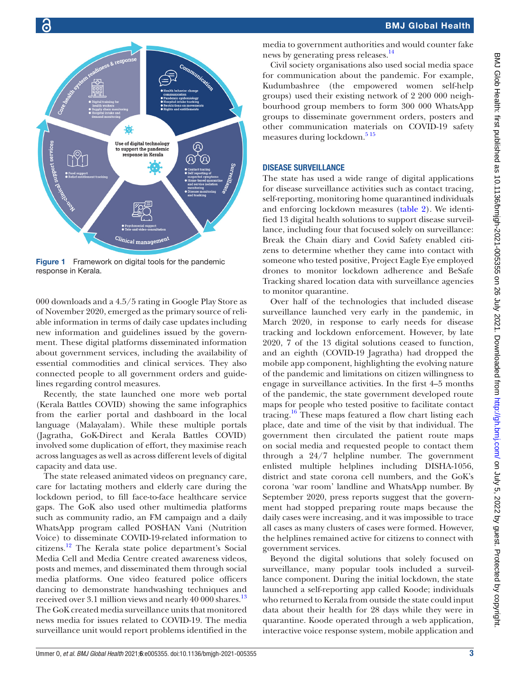

<span id="page-2-0"></span>Figure 1 Framework on digital tools for the pandemic response in Kerala.

000 downloads and a 4.5/5 rating in Google Play Store as of November 2020, emerged as the primary source of reliable information in terms of daily case updates including new information and guidelines issued by the government. These digital platforms disseminated information about government services, including the availability of essential commodities and clinical services. They also connected people to all government orders and guidelines regarding control measures.

Recently, the state launched one more web portal (Kerala Battles COVID) showing the same infographics from the earlier portal and dashboard in the local language (Malayalam). While these multiple portals (Jagratha, GoK-Direct and Kerala Battles COVID) involved some duplication of effort, they maximise reach across languages as well as across different levels of digital capacity and data use.

The state released animated videos on pregnancy care, care for lactating mothers and elderly care during the lockdown period, to fill face-to-face healthcare service gaps. The GoK also used other multimedia platforms such as community radio, an FM campaign and a daily WhatsApp program called POSHAN Vani (Nutrition Voice) to disseminate COVID-19-related information to citizens.[12](#page-12-5) The Kerala state police department's Social Media Cell and Media Centre created awareness videos, posts and memes, and disseminated them through social media platforms. One video featured police officers dancing to demonstrate handwashing techniques and received over 3.1 million views and nearly 40 000 shares.<sup>13</sup> The GoK created media surveillance units that monitored news media for issues related to COVID-19. The media surveillance unit would report problems identified in the

media to government authorities and would counter fake news by generating press releases.<sup>[14](#page-12-7)</sup>

Civil society organisations also used social media space for communication about the pandemic. For example, Kudumbashree (the empowered women self-help groups) used their existing network of 2 200 000 neighbourhood group members to form 300 000 WhatsApp groups to disseminate government orders, posters and other communication materials on COVID-19 safety measures during lockdown.<sup>515</sup>

#### DISEASE SURVEILLANCE

The state has used a wide range of digital applications for disease surveillance activities such as contact tracing, self-reporting, monitoring home quarantined individuals and enforcing lockdown measures [\(table](#page-3-0) 2). We identified 13 digital health solutions to support disease surveillance, including four that focused solely on surveillance: Break the Chain diary and Covid Safety enabled citizens to determine whether they came into contact with someone who tested positive, Project Eagle Eye employed drones to monitor lockdown adherence and BeSafe Tracking shared location data with surveillance agencies to monitor quarantine.

Over half of the technologies that included disease surveillance launched very early in the pandemic, in March 2020, in response to early needs for disease tracking and lockdown enforcement. However, by late 2020, 7 of the 13 digital solutions ceased to function, and an eighth (COVID-19 Jagratha) had dropped the mobile app component, highlighting the evolving nature of the pandemic and limitations on citizen willingness to engage in surveillance activities. In the first 4–5 months of the pandemic, the state government developed route maps for people who tested positive to facilitate contact tracing.<sup>16</sup> These maps featured a flow chart listing each place, date and time of the visit by that individual. The government then circulated the patient route maps on social media and requested people to contact them through a 24/7 helpline number. The government enlisted multiple helplines including DISHA-1056, district and state corona cell numbers, and the GoK's corona 'war room' landline and WhatsApp number. By September 2020, press reports suggest that the government had stopped preparing route maps because the daily cases were increasing, and it was impossible to trace all cases as many clusters of cases were formed. However, the helplines remained active for citizens to connect with government services.

Beyond the digital solutions that solely focused on surveillance, many popular tools included a surveillance component. During the initial lockdown, the state launched a self-reporting app called Koode; individuals who returned to Kerala from outside the state could input data about their health for 28 days while they were in quarantine. Koode operated through a web application, interactive voice response system, mobile application and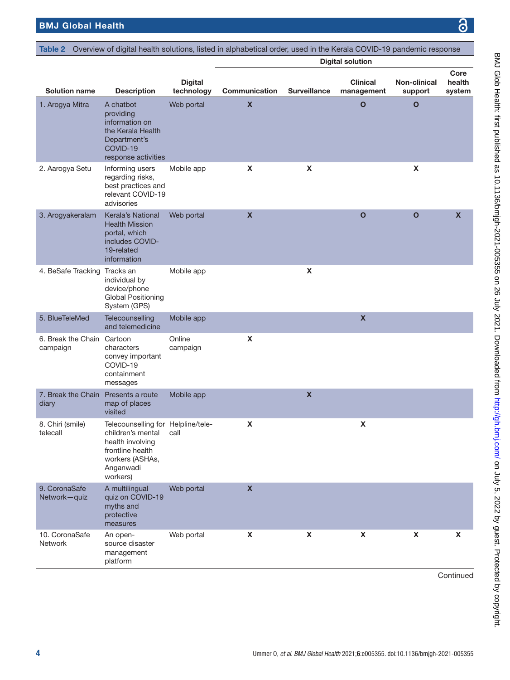<span id="page-3-0"></span>

| Table 2                                |                                                                                                                                             |                              | Overview of digital health solutions, listed in alphabetical order, used in the Kerala COVID-19 pandemic response |                     |                               |                         |                          |
|----------------------------------------|---------------------------------------------------------------------------------------------------------------------------------------------|------------------------------|-------------------------------------------------------------------------------------------------------------------|---------------------|-------------------------------|-------------------------|--------------------------|
|                                        |                                                                                                                                             |                              |                                                                                                                   |                     | <b>Digital solution</b>       |                         |                          |
| <b>Solution name</b>                   | <b>Description</b>                                                                                                                          | <b>Digital</b><br>technology | Communication                                                                                                     | <b>Surveillance</b> | <b>Clinical</b><br>management | Non-clinical<br>support | Core<br>health<br>system |
| 1. Arogya Mitra                        | A chatbot<br>providing<br>information on<br>the Kerala Health<br>Department's<br>COVID-19<br>response activities                            | Web portal                   | $\boldsymbol{\mathsf{x}}$                                                                                         |                     | $\mathbf{o}$                  | $\mathbf{o}$            |                          |
| 2. Aarogya Setu                        | Informing users<br>regarding risks,<br>best practices and<br>relevant COVID-19<br>advisories                                                | Mobile app                   | X                                                                                                                 | X                   |                               | X                       |                          |
| 3. Arogyakeralam                       | Kerala's National<br><b>Health Mission</b><br>portal, which<br>includes COVID-<br>19-related<br>information                                 | Web portal                   | $\pmb{\mathsf{X}}$                                                                                                |                     | $\mathbf{o}$                  | $\mathbf{o}$            | $\pmb{\mathsf{X}}$       |
| 4. BeSafe Tracking Tracks an           | individual by<br>device/phone<br><b>Global Positioning</b><br>System (GPS)                                                                  | Mobile app                   |                                                                                                                   | X                   |                               |                         |                          |
| 5. BlueTeleMed                         | Telecounselling<br>and telemedicine                                                                                                         | Mobile app                   |                                                                                                                   |                     | $\pmb{\mathsf{x}}$            |                         |                          |
| 6. Break the Chain Cartoon<br>campaign | characters<br>convey important<br>COVID-19<br>containment<br>messages                                                                       | Online<br>campaign           | $\boldsymbol{\mathsf{X}}$                                                                                         |                     |                               |                         |                          |
| 7. Break the Chain<br>diary            | Presents a route<br>map of places<br>visited                                                                                                | Mobile app                   |                                                                                                                   | $\pmb{\mathsf{X}}$  |                               |                         |                          |
| 8. Chiri (smile)<br>telecall           | Telecounselling for Helpline/tele-<br>children's mental<br>health involving<br>frontline health<br>workers (ASHAs,<br>Anganwadi<br>workers) | call                         | X                                                                                                                 |                     | X                             |                         |                          |
| 9. CoronaSafe<br>Network-quiz          | A multilingual<br>quiz on COVID-19<br>myths and<br>protective<br>measures                                                                   | Web portal                   | $\boldsymbol{\mathsf{X}}$                                                                                         |                     |                               |                         |                          |
| 10. CoronaSafe<br>Network              | An open-<br>source disaster<br>management<br>platform                                                                                       | Web portal                   | X                                                                                                                 | $\pmb{\mathsf{X}}$  | $\boldsymbol{\mathsf{X}}$     | $\pmb{\mathsf{X}}$      | X                        |

**Continued**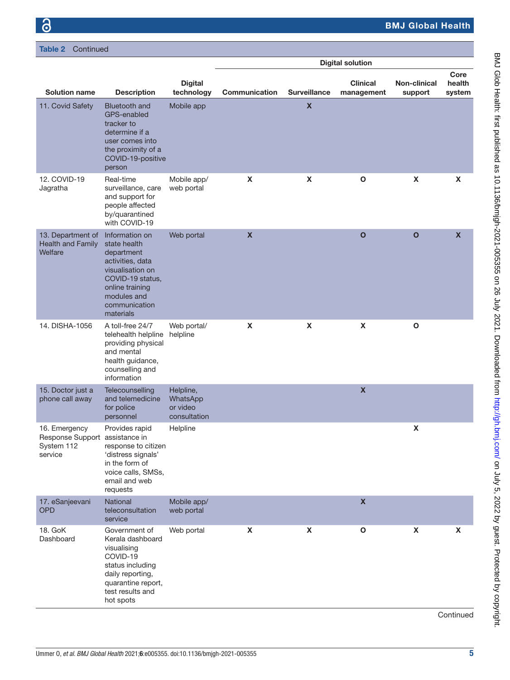Table 2 Continued

|                                                                          |                                                                                                                                                                          |                                                   |                    |                         | <b>Digital solution</b>       |                                |                           |
|--------------------------------------------------------------------------|--------------------------------------------------------------------------------------------------------------------------------------------------------------------------|---------------------------------------------------|--------------------|-------------------------|-------------------------------|--------------------------------|---------------------------|
| <b>Solution name</b>                                                     | <b>Description</b>                                                                                                                                                       | <b>Digital</b><br>technology                      | Communication      | <b>Surveillance</b>     | <b>Clinical</b><br>management | <b>Non-clinical</b><br>support | Core<br>health<br>system  |
| 11. Covid Safety                                                         | <b>Bluetooth and</b><br>GPS-enabled<br>tracker to<br>determine if a<br>user comes into<br>the proximity of a<br>COVID-19-positive<br>person                              | Mobile app                                        |                    | $\overline{\mathbf{X}}$ |                               |                                |                           |
| 12. COVID-19<br>Jagratha                                                 | Real-time<br>surveillance, care<br>and support for<br>people affected<br>by/quarantined<br>with COVID-19                                                                 | Mobile app/<br>web portal                         | X                  | X                       | $\mathbf{o}$                  | X                              | X                         |
| 13. Department of<br>Health and Family<br>Welfare                        | Information on<br>state health<br>department<br>activities, data<br>visualisation on<br>COVID-19 status,<br>online training<br>modules and<br>communication<br>materials | Web portal                                        | $\pmb{\mathsf{X}}$ |                         | $\mathbf{o}$                  | $\mathbf{o}$                   | $\boldsymbol{\mathsf{X}}$ |
| 14. DISHA-1056                                                           | A toll-free 24/7<br>telehealth helpline<br>providing physical<br>and mental<br>health guidance,<br>counselling and<br>information                                        | Web portal/<br>helpline                           | X                  | X                       | $\boldsymbol{\mathsf{X}}$     | $\mathbf{o}$                   |                           |
| 15. Doctor just a<br>phone call away                                     | Telecounselling<br>and telemedicine<br>for police<br>personnel                                                                                                           | Helpline,<br>WhatsApp<br>or video<br>consultation |                    |                         | $\boldsymbol{\mathsf{X}}$     |                                |                           |
| 16. Emergency<br>Response Support assistance in<br>System 112<br>service | Provides rapid<br>response to citizen<br>'distress signals'<br>in the form of<br>voice calls, SMSs,<br>email and web<br>requests                                         | Helpline                                          |                    |                         |                               | X                              |                           |
| 17. eSanjeevani<br><b>OPD</b>                                            | National<br>teleconsultation<br>service                                                                                                                                  | Mobile app/<br>web portal                         |                    |                         | $\boldsymbol{\mathsf{x}}$     |                                |                           |
| 18. GoK<br>Dashboard                                                     | Government of<br>Kerala dashboard<br>visualising<br>COVID-19<br>status including<br>daily reporting,<br>quarantine report,<br>test results and<br>hot spots              | Web portal                                        | X                  | X                       | $\mathbf{o}$                  | $\pmb{\mathsf{X}}$             | X                         |

Continued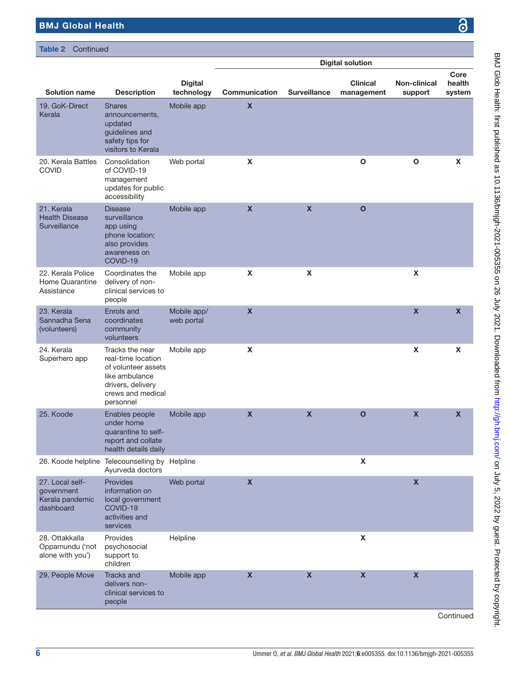#### Table 2 Continued

|                                                               |                                                                                                                                       |                              |                           |                           | <b>Digital solution</b>       |                         |                           |
|---------------------------------------------------------------|---------------------------------------------------------------------------------------------------------------------------------------|------------------------------|---------------------------|---------------------------|-------------------------------|-------------------------|---------------------------|
| <b>Solution name</b>                                          | <b>Description</b>                                                                                                                    | <b>Digital</b><br>technology | Communication             | <b>Surveillance</b>       | <b>Clinical</b><br>management | Non-clinical<br>support | Core<br>health<br>system  |
| 19. GoK-Direct<br>Kerala                                      | <b>Shares</b><br>announcements,<br>updated<br>guidelines and<br>safety tips for<br>visitors to Kerala                                 | Mobile app                   | $\pmb{\mathsf{X}}$        |                           |                               |                         |                           |
| 20. Kerala Battles<br><b>COVID</b>                            | Consolidation<br>of COVID-19<br>management<br>updates for public<br>accessibility                                                     | Web portal                   | X                         |                           | $\mathbf O$                   | O                       | X                         |
| 21. Kerala<br><b>Health Disease</b><br>Surveillance           | <b>Disease</b><br>surveillance<br>app using<br>phone location;<br>also provides<br>awareness on<br>COVID-19                           | Mobile app                   | $\boldsymbol{\mathsf{X}}$ | $\boldsymbol{\mathsf{x}}$ | $\mathbf{o}$                  |                         |                           |
| 22. Kerala Police<br>Home Quarantine<br>Assistance            | Coordinates the<br>delivery of non-<br>clinical services to<br>people                                                                 | Mobile app                   | $\pmb{\mathsf{X}}$        | $\pmb{\mathsf{X}}$        |                               | X                       |                           |
| 23. Kerala<br>Sannadha Sena<br>(volunteers)                   | Enrols and<br>coordinates<br>community<br>volunteers                                                                                  | Mobile app/<br>web portal    | $\mathbf x$               |                           |                               | $\mathbf x$             | $\boldsymbol{\mathsf{x}}$ |
| 24. Kerala<br>Superhero app                                   | Tracks the near<br>real-time location<br>of volunteer assets<br>like ambulance<br>drivers, delivery<br>crews and medical<br>personnel | Mobile app                   | X                         |                           |                               | $\pmb{\mathsf{x}}$      | $\boldsymbol{\mathsf{X}}$ |
| 25. Koode                                                     | Enables people<br>under home<br>quarantine to self-<br>report and collate<br>health details daily                                     | Mobile app                   | $\boldsymbol{\mathsf{X}}$ | $\boldsymbol{\mathsf{X}}$ | $\mathbf{o}$                  | $\pmb{\mathsf{x}}$      | $\boldsymbol{\mathsf{X}}$ |
| 26. Koode helpline                                            | Telecounselling by Helpline<br>Ayurveda doctors                                                                                       |                              |                           |                           | X                             |                         |                           |
| 27. Local self-<br>government<br>Kerala pandemic<br>dashboard | Provides<br>information on<br>local government<br>COVID-19<br>activities and<br>services                                              | Web portal                   | $\boldsymbol{\mathsf{X}}$ |                           |                               | $\mathbf x$             |                           |
| 28. Ottakkalla<br>Oppamundu ('not<br>alone with you')         | Provides<br>psychosocial<br>support to<br>children                                                                                    | Helpline                     |                           |                           | $\pmb{\mathsf{X}}$            |                         |                           |
| 29. People Move                                               | <b>Tracks and</b><br>delivers non-<br>clinical services to<br>people                                                                  | Mobile app                   | $\boldsymbol{\mathsf{x}}$ | $\pmb{\mathsf{X}}$        | $\boldsymbol{X}$              | $\pmb{\mathsf{x}}$      |                           |
|                                                               |                                                                                                                                       |                              |                           |                           |                               |                         | Continued                 |

<u>ය</u>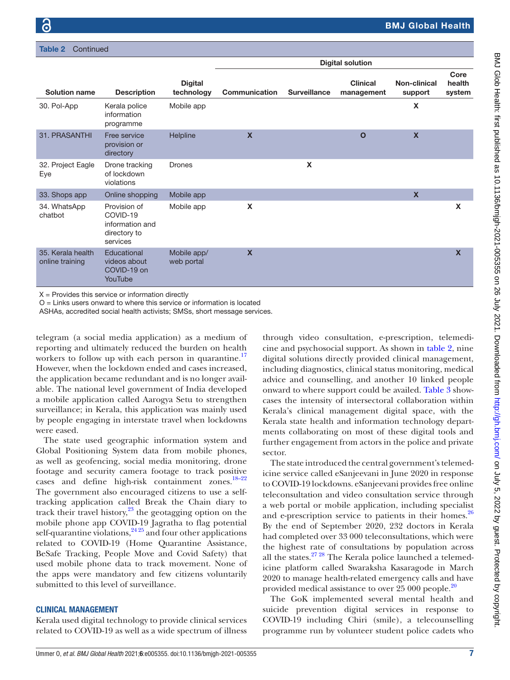Table 2 Continued

|                                      |                                                                         |                              |                           |                     | <b>Digital solution</b>       |                           |                           |
|--------------------------------------|-------------------------------------------------------------------------|------------------------------|---------------------------|---------------------|-------------------------------|---------------------------|---------------------------|
| <b>Solution name</b>                 | <b>Description</b>                                                      | <b>Digital</b><br>technology | Communication             | <b>Surveillance</b> | <b>Clinical</b><br>management | Non-clinical<br>support   | Core<br>health<br>system  |
| 30. Pol-App                          | Kerala police<br>information<br>programme                               | Mobile app                   |                           |                     |                               | X                         |                           |
| 31. PRASANTHI                        | Free service<br>provision or<br>directory                               | Helpline                     | $\boldsymbol{\mathsf{x}}$ |                     | $\mathbf{o}$                  | $\boldsymbol{\mathsf{X}}$ |                           |
| 32. Project Eagle<br>Eye             | Drone tracking<br>of lockdown<br>violations                             | <b>Drones</b>                |                           | X                   |                               |                           |                           |
| 33. Shops app                        | Online shopping                                                         | Mobile app                   |                           |                     |                               | $\mathbf x$               |                           |
| 34. WhatsApp<br>chatbot              | Provision of<br>COVID-19<br>information and<br>directory to<br>services | Mobile app                   | X                         |                     |                               |                           | X                         |
| 35. Kerala health<br>online training | Educational<br>videos about<br>COVID-19 on<br>YouTube                   | Mobile app/<br>web portal    | $\boldsymbol{\mathsf{x}}$ |                     |                               |                           | $\boldsymbol{\mathsf{x}}$ |

 $X =$  Provides this service or information directly

O = Links users onward to where this service or information is located

ASHAs, accredited social health activists; SMSs, short message services.

telegram (a social media application) as a medium of reporting and ultimately reduced the burden on health workers to follow up with each person in quarantine.<sup>17</sup> However, when the lockdown ended and cases increased, the application became redundant and is no longer available. The national level government of India developed a mobile application called Aarogya Setu to strengthen surveillance; in Kerala, this application was mainly used by people engaging in interstate travel when lockdowns were eased.

The state used geographic information system and Global Positioning System data from mobile phones, as well as geofencing, social media monitoring, drone footage and security camera footage to track positive cases and define high-risk containment zones[.18–22](#page-12-10) The government also encouraged citizens to use a selftracking application called Break the Chain diary to track their travel history, $^{23}$  $^{23}$  $^{23}$  the geotagging option on the mobile phone app COVID-19 Jagratha to flag potential self-quarantine violations,  $^{24\,25}$  and four other applications related to COVID-19 (Home Quarantine Assistance, BeSafe Tracking, People Move and Covid Safety) that used mobile phone data to track movement. None of the apps were mandatory and few citizens voluntarily submitted to this level of surveillance.

#### CLINICAL MANAGEMENT

Kerala used digital technology to provide clinical services related to COVID-19 as well as a wide spectrum of illness

through video consultation, e-prescription, telemedicine and psychosocial support. As shown in [table](#page-3-0) 2, nine digital solutions directly provided clinical management, including diagnostics, clinical status monitoring, medical advice and counselling, and another 10 linked people onward to where support could be availed. [Table](#page-7-0) 3 showcases the intensity of intersectoral collaboration within Kerala's clinical management digital space, with the Kerala state health and information technology departments collaborating on most of these digital tools and further engagement from actors in the police and private sector.

The state introduced the central government's telemedicine service called eSanjeevani in June 2020 in response to COVID-19 lockdowns. eSanjeevani provides free online teleconsultation and video consultation service through a web portal or mobile application, including specialist and e-prescription service to patients in their homes.<sup>[26](#page-12-13)</sup> By the end of September 2020, 232 doctors in Kerala had completed over 33 000 teleconsultations, which were the highest rate of consultations by population across all the states. $27 28$  The Kerala police launched a telemedicine platform called Swaraksha Kasaragode in March 2020 to manage health-related emergency calls and have provided medical assistance to over 25 000 people.<sup>[20](#page-12-15)</sup>

The GoK implemented several mental health and suicide prevention digital services in response to COVID-19 including Chiri (smile), a telecounselling programme run by volunteer student police cadets who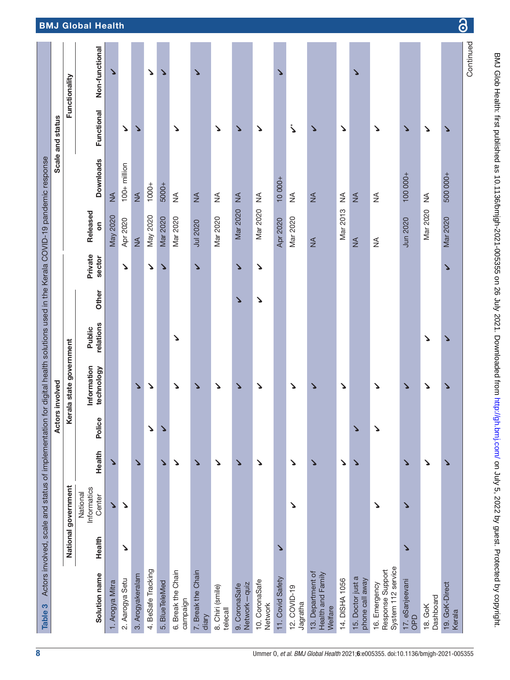<span id="page-7-0"></span>

|                  |                         | Non-functional                    | ゝ                     |                 |                  | ↘                  | ↘              |                                | ↘                           |                              |                               |                           | ゝ                |                          |                                                   |                | ↘                                    |                                                         |                               |                      |                          |
|------------------|-------------------------|-----------------------------------|-----------------------|-----------------|------------------|--------------------|----------------|--------------------------------|-----------------------------|------------------------------|-------------------------------|---------------------------|------------------|--------------------------|---------------------------------------------------|----------------|--------------------------------------|---------------------------------------------------------|-------------------------------|----------------------|--------------------------|
| Scale and status | Functionality           | Functional                        |                       | ↘               | ゝ                |                    |                | ゝ                              |                             | ↘                            | Δ                             | ゝ                         |                  | ڒ                        | ゝ                                                 | Δ              |                                      | ↘                                                       | Δ                             | ゝ                    | ゝ                        |
|                  |                         | <b>Downloads</b>                  | $\frac{4}{2}$         | $100+$ million  | $\frac{4}{2}$    | $1000 +$           | 5000+          | $\lessgtr$                     | $\lessgtr$                  | ≸                            | $\frac{4}{5}$                 | ≨                         | $10000 +$        | ≸                        | $\frac{4}{2}$                                     | $\lessgtr$     | $\frac{4}{2}$                        | $\frac{4}{2}$                                           | 100000+                       | ≨                    | 500 000+                 |
|                  |                         | Released<br>δ                     | <b>May 2020</b>       | Apr 2020        | $\frac{4}{2}$    | May 2020           | Mar 2020       | Mar 2020                       | <b>Jul 2020</b>             | Mar 2020                     | Mar 2020                      | Mar 2020                  | <b>Apr 2020</b>  | Mar 2020                 | $\frac{4}{2}$                                     | Mar 2013       | $\frac{1}{2}$                        | ≸                                                       | Jun 2020                      | Mar 2020             | Mar 2020                 |
|                  |                         | Private<br>sector                 |                       | ↘               |                  | ↘                  | ゝ              |                                | ゝ                           |                              | ゝ                             | ↘                         |                  |                          |                                                   |                |                                      |                                                         |                               |                      | ゝ                        |
|                  |                         | Other                             |                       |                 |                  |                    |                |                                |                             |                              | ゝ                             | ↘                         |                  |                          |                                                   |                |                                      |                                                         |                               |                      |                          |
|                  |                         | relations<br>Public               |                       |                 |                  |                    |                | ↘                              |                             |                              |                               |                           |                  |                          |                                                   |                |                                      |                                                         |                               | ↘                    | ↘                        |
|                  | Kerala state government | Information<br>technology         |                       |                 | ゝ                | ↘                  |                | ↘                              | ゝ                           | ↘                            | Δ                             | ↘                         |                  | ↘                        | ゝ                                                 | ↘              |                                      | ↘                                                       | ゝ                             | ↘                    | ↘                        |
| Actors involved  |                         | Police                            |                       |                 |                  | ↘                  | ↘              |                                |                             |                              |                               |                           |                  |                          |                                                   |                | ↘                                    | ↘                                                       |                               |                      |                          |
|                  |                         | Health                            | ゝ                     |                 | ゝ                |                    | ゝ              | ゝ                              | ゝ                           | ↘                            | Δ                             | ↘                         |                  | ↘                        | ゝ                                                 | Δ              | ↘                                    |                                                         | ゝ                             | ゝ                    | ゝ                        |
|                  | National government     | Informatics<br>National<br>Center | $\blacktriangleright$ | Δ               |                  |                    |                |                                |                             |                              |                               |                           |                  | ↘                        |                                                   |                |                                      | ↘                                                       | ↘                             |                      |                          |
|                  |                         | Health                            |                       | Δ               |                  |                    |                |                                |                             |                              |                               |                           | ↘                |                          |                                                   |                |                                      |                                                         | ↘                             |                      |                          |
|                  |                         | Solution name                     | 1. Arogya Mitra       | 2. Aarogya Setu | 3. Arogyakeralam | 4. BeSafe Tracking | 5. BlueTeleMed | 6. Break the Chain<br>campaign | 7. Break the Chain<br>diary | 8. Chiri (smile)<br>telecall | Network-quiz<br>9. CoronaSafe | 10. CoronaSafe<br>Network | 11. Covid Safety | 12. COVID-19<br>Jagratha | 13. Department of<br>Health and Family<br>Welfare | 14. DISHA 1056 | 15. Doctor just a<br>phone call away | System 112 service<br>Response Support<br>16. Emergency | 17. eSanjeevani<br><b>GdO</b> | Dashboard<br>18. GoK | 19. GoK-Direct<br>Kerala |

Ŷ.

෬

BMJ Glob Health: first published as 10.1136/bmigh-2021-005355 on 26 July 2021. Downloaded from http://gh.bmj.com/ on July 5, 2022 by guest. Protected by copyright. BMJ Glob Health: first published as 10.1136/bmjgh-2021-005355 on 26 July 2021. Downloaded from <http://gh.bmj.com/> on July 5, 2022 by guest. Protected by copyright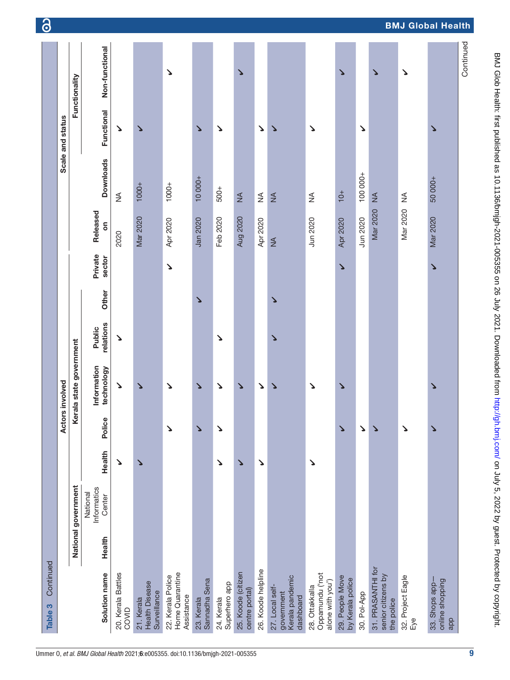| Continued<br>Table 3                                          |        |                                   |                       |        |                           |                     |       |                       |                 |                  |                       |                       |
|---------------------------------------------------------------|--------|-----------------------------------|-----------------------|--------|---------------------------|---------------------|-------|-----------------------|-----------------|------------------|-----------------------|-----------------------|
|                                                               |        |                                   |                       |        | Actors involved           |                     |       |                       |                 |                  | Scale and status      |                       |
|                                                               |        | National government               |                       |        | Kerala state government   |                     |       |                       |                 |                  |                       | Functionality         |
| Solution name                                                 | Health | Informatics<br>National<br>Center | Health                | Police | Information<br>technology | relations<br>Public | Other | Private<br>sector     | Released<br>ទី  | <b>Downloads</b> | Functional            | Non-functional        |
| 20. Kerala Battles<br>COVID                                   |        |                                   | ゝ                     |        | ゝ                         | ↘                   |       |                       | 2020            | $\lessgtr$       | ゝ                     |                       |
| <b>Health Disease</b><br>Surveillance<br>21. Kerala           |        |                                   | $\blacktriangleright$ |        | ゝ                         |                     |       |                       | <b>Mar 2020</b> | $1000 +$         | ゝ                     |                       |
| Home Quarantine<br>22. Kerala Police<br>Assistance            |        |                                   |                       | Δ      | Δ                         |                     |       | ゝ                     | Apr 2020        | $1000 +$         |                       | $\blacktriangleright$ |
| Sannadha Sena<br>23. Kerala                                   |        |                                   |                       | Δ      | Δ                         |                     | Δ     |                       | Jan 2020        | 10 000+          | $\blacktriangleright$ |                       |
| Superhero app<br>24. Kerala                                   |        |                                   | Δ                     | ゝ      | ↘                         | Δ                   |       |                       | Feb 2020        | $500+$           | $\blacktriangleright$ |                       |
| 25. Koode (citizen<br>centre portal)                          |        |                                   | ↘                     |        | ↘                         |                     |       |                       | <b>Aug 2020</b> | $\lessgtr$       |                       | ↘                     |
| 26. Koode helpline                                            |        |                                   | Δ                     |        | Δ                         |                     |       |                       | Apr 2020        | $\lessgtr$       | Δ                     |                       |
| Kerala pandemic<br>27. Local self-<br>government<br>dashboard |        |                                   |                       |        | ٧                         | ↘                   | ゝ     |                       | $\frac{4}{2}$   | $\lessgtr$       | ゝ                     |                       |
| Oppamundu ('not<br>alone with you')<br>28. Ottakkalla         |        |                                   | Δ                     |        | Δ                         |                     |       |                       | Jun 2020        | ₹                | Δ                     |                       |
| 29. People Move<br>by Kerala police                           |        |                                   |                       | ゝ      | Δ                         |                     |       | $\blacktriangleright$ | <b>Apr 2020</b> | $10+$            |                       | ↘                     |
| 30. Pol-App                                                   |        |                                   |                       | Δ      |                           |                     |       |                       | Jun 2020        | 100 000+         | Δ                     |                       |
| 31. PRASANTHI for<br>senior citizens by<br>the police         |        |                                   |                       | ↘      |                           |                     |       |                       | Mar 2020        | $\leq$           |                       | ↘                     |
| 32. Project Eagle<br>Eye                                      |        |                                   |                       | Δ      |                           |                     |       |                       | Mar 2020        | ≸                |                       | ↘                     |
| online shopping<br>33. Shops app-<br>app                      |        |                                   |                       | ↘      | ↘                         |                     |       | ↘                     | Mar 2020        | 50 000+          | ↘                     |                       |
|                                                               |        |                                   |                       |        |                           |                     |       |                       |                 |                  |                       | Continued             |

9

BMJ Glob Health: first published as 10.1136/bmigh-2021-005355 on 26 July 2021. Downloaded from http://gh.bmj.com/ on July 5, 2022 by guest. Protected by copyright. BMJ Glob Health: first published as 10.1136/bmjgh-2021-005355 on 26 July 2021. Downloaded from <http://gh.bmj.com/> on July 5, 2022 by guest. Protected by copyright

BMJ Global Health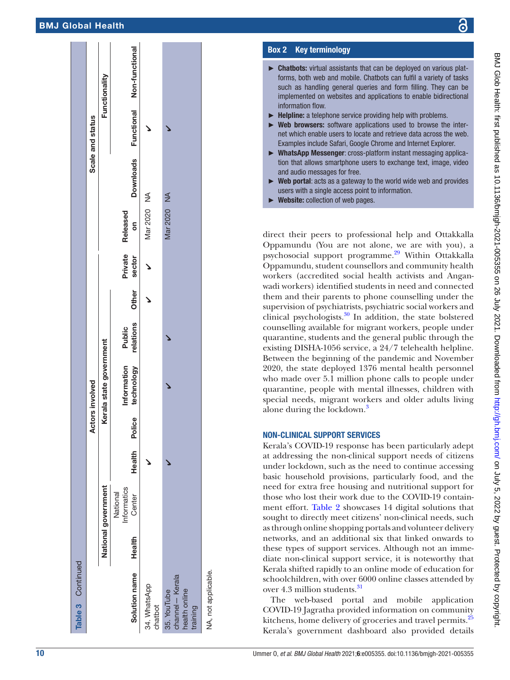|                                                            |        |                                   |        |        | Actors involved                  |                        |  |                       | Scale and status |                                     |
|------------------------------------------------------------|--------|-----------------------------------|--------|--------|----------------------------------|------------------------|--|-----------------------|------------------|-------------------------------------|
|                                                            |        | National government               |        |        | Cerala state government          |                        |  |                       |                  | Functionality                       |
| Solution name                                              | Health | Informatics<br>National<br>Center | Health | Police | Information Public<br>technology | relations Other sector |  | Private Released<br>δ |                  | Downloads Functional Non-functional |
| 34. WhatsApp<br>chatbot                                    |        |                                   |        |        |                                  |                        |  | Mar 2020 NA           |                  |                                     |
| channel-Kerala<br>35. YouTube<br>health online<br>training |        |                                   |        |        |                                  |                        |  | Mar 2020 NA           |                  |                                     |
| NA, not applicable.                                        |        |                                   |        |        |                                  |                        |  |                       |                  |                                     |

#### Box 2 Key terminolog y

- <span id="page-9-0"></span>► Chatbots: virtual assistants that can be deployed on various platforms, both web and mobile. Chatbots can fulfil a variety of tasks such as handling general queries and form filling. They can be implemented on websites and applications to enable bidirectional information flow.
- $\blacktriangleright$  Helpline: a telephone service providing help with problems.
- ► Web browsers: software applications used to browse the internet which enable users to locate and retrieve data across the web. Examples include Safari, Google Chrome and Internet Explorer.
- ► WhatsApp Messenger: cross-platform instant messaging application that allows smartphone users to exchange text, image, video and audio messages for free.
- ► Web portal: acts as a gateway to the world wide web and provides users with a single access point to information.
- ► Website: collection of web pages.

direct their peers to professional help and Ottakkalla Oppamundu (You are not alone, we are with you), a psychosocial support programme.[29](#page-12-16) Within Ottakkalla Oppamundu, student counsellors and community health workers (accredited social health activists and Angan wadi workers) identified students in need and connected them and their parents to phone counselling under the supervision of psychiatrists, psychiatric social workers and clinical psychologists.[30](#page-12-17) In addition, the state bolstered counselling available for migrant workers, people under quarantine, students and the general public through the existing DISHA-1056 service, a 24/7 telehealth helpline. Between the beginning of the pandemic and November 2020, the state deployed 1376 mental health personnel who made over 5.1 million phone calls to people under quarantine, people with mental illnesses, children with special needs, migrant workers and older adults living alone during the lockdown. [3](#page-12-0)

#### NON-CLINICAL SUPPORT SERVICES

Kerala's COVID-19 response has been particularly adept at addressing the non-clinical support needs of citizens under lockdown, such as the need to continue accessing basic household provisions, particularly food, and the need for extra free housing and nutritional support for those who lost their work due to the COVID-19 contain ment effort. [Table](#page-3-0) 2 showcases 14 digital solutions that sought to directly meet citizens' non-clinical needs, such as through online shopping portals and volunteer delivery networks, and an additional six that linked onwards to these types of support services. Although not an immediate non-clinical support service, it is noteworthy that Kerala shifted rapidly to an online mode of education for schoolchildren, with over 6000 online classes attended by over 4.3 million students.<sup>[31](#page-12-18)</sup>

The web-based portal and mobile application COVID-19 Jagratha provided information on community kitchens, home delivery of groceries and travel permits.<sup>[25](#page-12-19)</sup> Kerala's government dashboard also provided details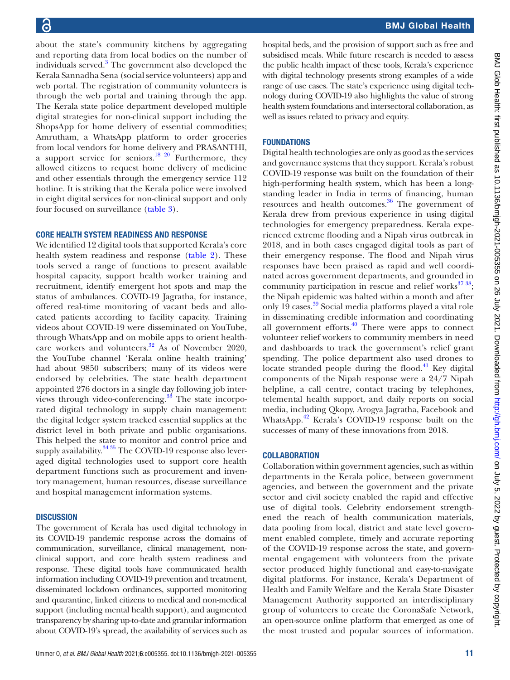about the state's community kitchens by aggregating and reporting data from local bodies on the number of individuals served.<sup>[3](#page-12-0)</sup> The government also developed the Kerala Sannadha Sena (social service volunteers) app and web portal. The registration of community volunteers is through the web portal and training through the app. The Kerala state police department developed multiple digital strategies for non-clinical support including the ShopsApp for home delivery of essential commodities; Amrutham, a WhatsApp platform to order groceries from local vendors for home delivery and PRASANTHI, a support service for seniors.<sup>[18 20](#page-12-10)</sup> Furthermore, they allowed citizens to request home delivery of medicine and other essentials through the emergency service 112 hotline. It is striking that the Kerala police were involved in eight digital services for non-clinical support and only four focused on surveillance [\(table](#page-7-0) 3).

#### CORE HEALTH SYSTEM READINESS AND RESPONSE

We identified 12 digital tools that supported Kerala's core health system readiness and response ([table](#page-3-0) 2). These tools served a range of functions to present available hospital capacity, support health worker training and recruitment, identify emergent hot spots and map the status of ambulances. COVID-19 Jagratha, for instance, offered real-time monitoring of vacant beds and allocated patients according to facility capacity. Training videos about COVID-19 were disseminated on YouTube, through WhatsApp and on mobile apps to orient health-care workers and volunteers.<sup>[32](#page-12-20)</sup> As of November 2020, the YouTube channel 'Kerala online health training' had about 9850 subscribers; many of its videos were endorsed by celebrities. The state health department appointed 276 doctors in a single day following job interviews through video-conferencing. $33$  The state incorporated digital technology in supply chain management: the digital ledger system tracked essential supplies at the district level in both private and public organisations. This helped the state to monitor and control price and supply availability.<sup>[34 35](#page-12-22)</sup> The COVID-19 response also leveraged digital technologies used to support core health department functions such as procurement and inventory management, human resources, disease surveillance and hospital management information systems.

#### **DISCUSSION**

The government of Kerala has used digital technology in its COVID-19 pandemic response across the domains of communication, surveillance, clinical management, nonclinical support, and core health system readiness and response. These digital tools have communicated health information including COVID-19 prevention and treatment, disseminated lockdown ordinances, supported monitoring and quarantine, linked citizens to medical and non-medical support (including mental health support), and augmented transparency by sharing up-to-date and granular information about COVID-19's spread, the availability of services such as

hospital beds, and the provision of support such as free and subsidised meals. While future research is needed to assess the public health impact of these tools, Kerala's experience with digital technology presents strong examples of a wide range of use cases. The state's experience using digital technology during COVID-19 also highlights the value of strong health system foundations and intersectoral collaboration, as well as issues related to privacy and equity.

#### FOUNDATIONS

Digital health technologies are only as good as the services and governance systems that they support. Kerala's robust COVID-19 response was built on the foundation of their high-performing health system, which has been a longstanding leader in India in terms of financing, human resources and health outcomes[.36](#page-12-23) The government of Kerala drew from previous experience in using digital technologies for emergency preparedness. Kerala experienced extreme flooding and a Nipah virus outbreak in 2018, and in both cases engaged digital tools as part of their emergency response. The flood and Nipah virus responses have been praised as rapid and well coordinated across government departments, and grounded in community participation in rescue and relief works<sup>[37 38](#page-12-24)</sup>; the Nipah epidemic was halted within a month and after only 19 cases.<sup>[39](#page-12-25)</sup> Social media platforms played a vital role in disseminating credible information and coordinating all government efforts. $40$  There were apps to connect volunteer relief workers to community members in need and dashboards to track the government's relief grant spending. The police department also used drones to locate stranded people during the flood. $41$  Key digital components of the Nipah response were a 24/7 Nipah helpline, a call centre, contact tracing by telephones, telemental health support, and daily reports on social media, including Qkopy, Arogya Jagratha, Facebook and WhatsApp.<sup>[42](#page-12-28)</sup> Kerala's COVID-19 response built on the successes of many of these innovations from 2018.

#### **COLLABORATION**

Collaboration within government agencies, such as within departments in the Kerala police, between government agencies, and between the government and the private sector and civil society enabled the rapid and effective use of digital tools. Celebrity endorsement strengthened the reach of health communication materials, data pooling from local, district and state level government enabled complete, timely and accurate reporting of the COVID-19 response across the state, and governmental engagement with volunteers from the private sector produced highly functional and easy-to-navigate digital platforms. For instance, Kerala's Department of Health and Family Welfare and the Kerala State Disaster Management Authority supported an interdisciplinary group of volunteers to create the CoronaSafe Network, an open-source online platform that emerged as one of the most trusted and popular sources of information.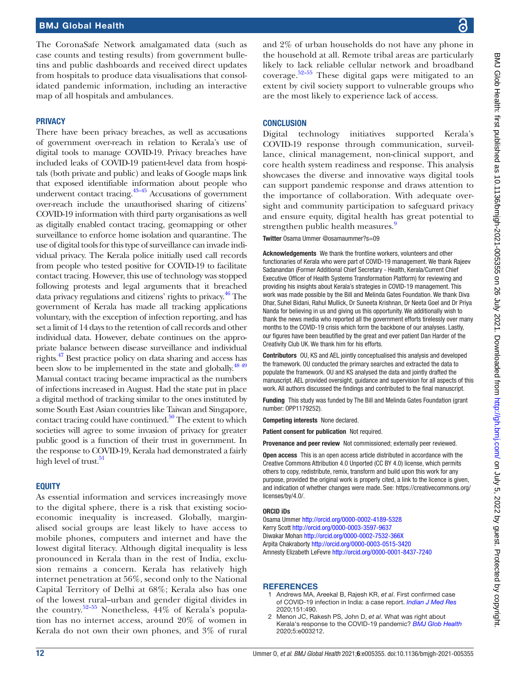The CoronaSafe Network amalgamated data (such as case counts and testing results) from government bulletins and public dashboards and received direct updates from hospitals to produce data visualisations that consolidated pandemic information, including an interactive map of all hospitals and ambulances.

#### **PRIVACY**

There have been privacy breaches, as well as accusations of government over-reach in relation to Kerala's use of digital tools to manage COVID-19. Privacy breaches have included leaks of COVID-19 patient-level data from hospitals (both private and public) and leaks of Google maps link that exposed identifiable information about people who underwent contact tracing.<sup>43–45</sup> Accusations of government over-reach include the unauthorised sharing of citizens' COVID-19 information with third party organisations as well as digitally enabled contact tracing, geomapping or other surveillance to enforce home isolation and quarantine. The use of digital tools for this type of surveillance can invade individual privacy. The Kerala police initially used call records from people who tested positive for COVID-19 to facilitate contact tracing. However, this use of technology was stopped following protests and legal arguments that it breached data privacy regulations and citizens' rights to privacy.<sup>46</sup> The government of Kerala has made all tracking applications voluntary, with the exception of infection reporting, and has set a limit of 14 days to the retention of call records and other individual data. However, debate continues on the appropriate balance between disease surveillance and individual rights.[47](#page-13-7) Best practice policy on data sharing and access has been slow to be implemented in the state and globally.<sup>48 49</sup> Manual contact tracing became impractical as the numbers of infections increased in August. Had the state put in place a digital method of tracking similar to the ones instituted by some South East Asian countries like Taiwan and Singapore, contact tracing could have continued. $50$  The extent to which societies will agree to some invasion of privacy for greater public good is a function of their trust in government. In the response to COVID-19, Kerala had demonstrated a fairly high level of trust. $51$ 

#### **EQUITY**

As essential information and services increasingly move to the digital sphere, there is a risk that existing socioeconomic inequality is increased. Globally, marginalised social groups are least likely to have access to mobile phones, computers and internet and have the lowest digital literacy. Although digital inequality is less pronounced in Kerala than in the rest of India, exclusion remains a concern. Kerala has relatively high internet penetration at 56%, second only to the National Capital Territory of Delhi at 68%; Kerala also has one of the lowest rural–urban and gender digital divides in the country.[52–55](#page-13-11) Nonetheless, 44% of Kerala's population has no internet access, around 20% of women in Kerala do not own their own phones, and 3% of rural and 2% of urban households do not have any phone in the household at all. Remote tribal areas are particularly likely to lack reliable cellular network and broadband coverage. $52-55$  These digital gaps were mitigated to an extent by civil society support to vulnerable groups who are the most likely to experience lack of access.

#### **CONCLUSION**

Digital technology initiatives supported Kerala's COVID-19 response through communication, surveillance, clinical management, non-clinical support, and core health system readiness and response. This analysis showcases the diverse and innovative ways digital tools can support pandemic response and draws attention to the importance of collaboration. With adequate oversight and community participation to safeguard privacy and ensure equity, digital health has great potential to strengthen public health measures.<sup>9</sup>

Twitter Osama Ummer [@osamaummer?s=09](https://twitter.com/osamaummer?s=09)

Acknowledgements We thank the frontline workers, volunteers and other functionaries of Kerala who were part of COVID-19 management. We thank Rajeev Sadanandan (Former Additional Chief Secretary - Health, Kerala/Current Chief Executive Officer of Health Systems Transformation Platform) for reviewing and providing his insights about Kerala's strategies in COVID-19 management. This work was made possible by the Bill and Melinda Gates Foundation. We thank Diva Dhar, Suhel Bidani, Rahul Mullick, Dr Suneeta Krishnan, Dr Neeta Goel and Dr Priya Nanda for believing in us and giving us this opportunity. We additionally wish to thank the news media who reported all the government efforts tirelessly over many months to the COVID-19 crisis which form the backbone of our analyses. Lastly, our figures have been beautified by the great and ever patient Dan Harder of the Creativity Club UK. We thank him for his efforts.

Contributors OU, KS and AEL jointly conceptualised this analysis and developed the framework. OU conducted the primary searches and extracted the data to populate the framework. OU and KS analysed the data and jointly drafted the manuscript. AEL provided oversight, guidance and supervision for all aspects of this work. All authors discussed the findings and contributed to the final manuscript.

Funding This study was funded by The Bill and Melinda Gates Foundation (grant number: OPP1179252).

Competing interests None declared.

Patient consent for publication Not required.

Provenance and peer review Not commissioned; externally peer reviewed.

Open access This is an open access article distributed in accordance with the Creative Commons Attribution 4.0 Unported (CC BY 4.0) license, which permits others to copy, redistribute, remix, transform and build upon this work for any purpose, provided the original work is properly cited, a link to the licence is given, and indication of whether changes were made. See: [https://creativecommons.org/](https://creativecommons.org/licenses/by/4.0/) [licenses/by/4.0/](https://creativecommons.org/licenses/by/4.0/).

#### ORCID iDs

Osama Ummer<http://orcid.org/0000-0002-4189-5328> Kerry Scott <http://orcid.org/0000-0003-3597-9637> Diwakar Mohan<http://orcid.org/0000-0002-7532-366X> Arpita Chakraborty<http://orcid.org/0000-0003-0515-3420> Amnesty Elizabeth LeFevre<http://orcid.org/0000-0001-8437-7240>

#### **REFERENCES**

- <span id="page-11-0"></span>1 Andrews MA, Areekal B, Rajesh KR, *et al*. First confirmed case of COVID-19 infection in India: a case report. *[Indian J Med Res](http://dx.doi.org/10.4103/ijmr.IJMR_2131_20)* 2020;151:490.
- <span id="page-11-1"></span>2 Menon JC, Rakesh PS, John D, *et al*. What was right about Kerala's response to the COVID-19 pandemic? *[BMJ Glob Health](http://dx.doi.org/10.1136/bmjgh-2020-003212)* 2020;5:e003212.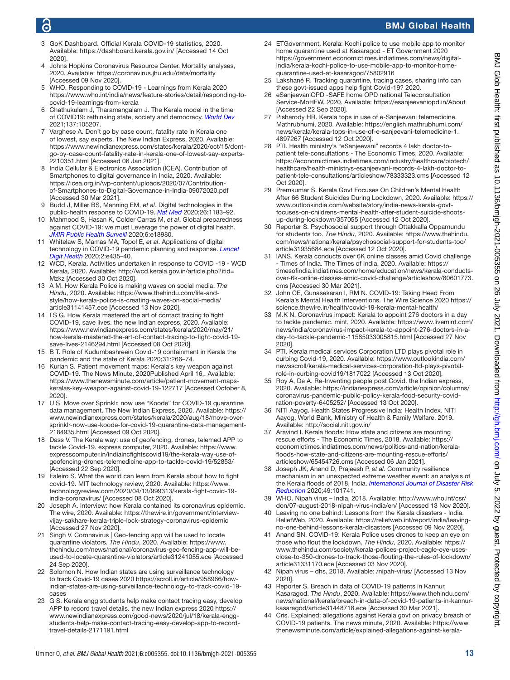## ൳

## BMJ Global Health

- <span id="page-12-0"></span>3 GoK Dashboard. Official Kerala COVID-19 statistics, 2020. Available:<https://dashboard.kerala.gov.in/>[Accessed 14 Oct 2020].
- 4 Johns Hopkins Coronavirus Resource Center. Mortality analyses, 2020. Available: <https://coronavirus.jhu.edu/data/mortality> [Accessed 09 Nov 2020].
- <span id="page-12-1"></span>5 WHO. Responding to COVID-19 - Learnings from Kerala 2020 [https://www.who.int/india/news/feature-stories/detail/responding-to](https://www.who.int/india/news/feature-stories/detail/responding-to-covid-19-learnings-from-kerala)[covid-19-learnings-from-kerala](https://www.who.int/india/news/feature-stories/detail/responding-to-covid-19-learnings-from-kerala)
- <span id="page-12-2"></span>6 Chathukulam J, Tharamangalam J. The Kerala model in the time of COVID19: rethinking state, society and democracy. *[World Dev](http://dx.doi.org/10.1016/j.worlddev.2020.105207)* 2021;137:105207.
- Varghese A. Don't go by case count, fatality rate in Kerala one of lowest, say experts. The New Indian Express, 2020. Available: [https://www.newindianexpress.com/states/kerala/2020/oct/15/dont](https://www.newindianexpress.com/states/kerala/2020/oct/15/dont-go-by-case-count-fatality-rate-in-kerala-one-of-lowest-say-experts-2210351.html)[go-by-case-count-fatality-rate-in-kerala-one-of-lowest-say-experts-](https://www.newindianexpress.com/states/kerala/2020/oct/15/dont-go-by-case-count-fatality-rate-in-kerala-one-of-lowest-say-experts-2210351.html)[2210351.html](https://www.newindianexpress.com/states/kerala/2020/oct/15/dont-go-by-case-count-fatality-rate-in-kerala-one-of-lowest-say-experts-2210351.html) [Accessed 06 Jan 2021].
- <span id="page-12-3"></span>8 India Cellular & Electronics Association (ICEA). Contribution of Smartphones to digital governance in India, 2020. Available: [https://icea.org.in/wp-content/uploads/2020/07/Contribution](https://icea.org.in/wp-content/uploads/2020/07/Contribution-of-Smartphones-to-Digital-Governance-in-India-09072020.pdf)[of-Smartphones-to-Digital-Governance-in-India-09072020.pdf](https://icea.org.in/wp-content/uploads/2020/07/Contribution-of-Smartphones-to-Digital-Governance-in-India-09072020.pdf)  [Accessed 30 Mar 2021].
- <span id="page-12-4"></span>9 Budd J, Miller BS, Manning EM, *et al*. Digital technologies in the public-health response to COVID-19. *[Nat Med](http://dx.doi.org/10.1038/s41591-020-1011-4)* 2020;26:1183–92.
- 10 Mahmood S, Hasan K, Colder Carras M, *et al*. Global preparedness against COVID-19: we must Leverage the power of digital health. *[JMIR Public Health Surveill](http://dx.doi.org/10.2196/18980)* 2020;6:e18980.
- 11 Whitelaw S, Mamas MA, Topol E, *et al*. Applications of digital technology in COVID-19 pandemic planning and response. *[Lancet](http://dx.doi.org/10.1016/S2589-7500(20)30142-4)  [Digit Health](http://dx.doi.org/10.1016/S2589-7500(20)30142-4)* 2020;2:e435–40.
- <span id="page-12-5"></span>12 WCD, Kerala. Activities undertaken in response to COVID -19 - WCD Kerala, 2020. Available: [http://wcd.kerala.gov.in/article.php?itid=](http://wcd.kerala.gov.in/article.php?itid=Mzkz) [Mzkz](http://wcd.kerala.gov.in/article.php?itid=Mzkz) [Accessed 30 Oct 2020].
- <span id="page-12-6"></span>13 A M. How Kerala Police is making waves on social media. *The Hindu*, 2020. Available: [https://www.thehindu.com/life-and](https://www.thehindu.com/life-and-style/how-kerala-police-is-creating-waves-on-social-media/article31141457.ece)[style/how-kerala-police-is-creating-waves-on-social-media/](https://www.thehindu.com/life-and-style/how-kerala-police-is-creating-waves-on-social-media/article31141457.ece) [article31141457.ece](https://www.thehindu.com/life-and-style/how-kerala-police-is-creating-waves-on-social-media/article31141457.ece) [Accessed 13 Nov 2020].
- <span id="page-12-7"></span>14 I S G. How Kerala mastered the art of contact tracing to fight COVID-19, save lives. the new Indian express, 2020. Available: [https://www.newindianexpress.com/states/kerala/2020/may/21/](https://www.newindianexpress.com/states/kerala/2020/may/21/how-kerala-mastered-the-art-of-contact-tracing-to-fight-covid-19-save-lives-2146294.html) [how-kerala-mastered-the-art-of-contact-tracing-to-fight-covid-19](https://www.newindianexpress.com/states/kerala/2020/may/21/how-kerala-mastered-the-art-of-contact-tracing-to-fight-covid-19-save-lives-2146294.html) [save-lives-2146294.html](https://www.newindianexpress.com/states/kerala/2020/may/21/how-kerala-mastered-the-art-of-contact-tracing-to-fight-covid-19-save-lives-2146294.html) [Accessed 08 Oct 2020].
- 15 B T. Role of Kudumbashreein Covid-19 containment in Kerala the pandemic and the state of Kerala 2020;31:266–74.
- <span id="page-12-8"></span>16 Kurian S. Patient movement maps: Kerala's key weapon against COVID-19. The News Minute, 2020Published April 16,. Available: [https://www.thenewsminute.com/article/patient-movement-maps](https://www.thenewsminute.com/article/patient-movement-maps-keralas-key-weapon-against-covid-19-122717)[keralas-key-weapon-against-covid-19-122717](https://www.thenewsminute.com/article/patient-movement-maps-keralas-key-weapon-against-covid-19-122717) [Accessed October 8, 2020].
- <span id="page-12-9"></span>17 U S. Move over Sprinklr, now use "Koode" for COVID-19 quarantine data management. The New Indian Express, 2020. Available: [https://](https://www.newindianexpress.com/states/kerala/2020/aug/18/move-over-sprinklr-now-use-koode-for-covid-19-quarantine-data-management-2184935.html) [www.newindianexpress.com/states/kerala/2020/aug/18/move-over](https://www.newindianexpress.com/states/kerala/2020/aug/18/move-over-sprinklr-now-use-koode-for-covid-19-quarantine-data-management-2184935.html)[sprinklr-now-use-koode-for-covid-19-quarantine-data-management-](https://www.newindianexpress.com/states/kerala/2020/aug/18/move-over-sprinklr-now-use-koode-for-covid-19-quarantine-data-management-2184935.html)[2184935.html](https://www.newindianexpress.com/states/kerala/2020/aug/18/move-over-sprinklr-now-use-koode-for-covid-19-quarantine-data-management-2184935.html) [Accessed 09 Oct 2020].
- <span id="page-12-10"></span>18 Dass V. The Kerala way: use of geofencing, drones, telemed APP to tackle Covid-19. express computer, 2020. Available: [https://www.](https://www.expresscomputer.in/indiaincfightscovid19/the-kerala-way-use-of-geofencing-drones-telemedicine-app-to-tackle-covid-19/52853/) [expresscomputer.in/indiaincfightscovid19/the-kerala-way-use-of](https://www.expresscomputer.in/indiaincfightscovid19/the-kerala-way-use-of-geofencing-drones-telemedicine-app-to-tackle-covid-19/52853/)[geofencing-drones-telemedicine-app-to-tackle-covid-19/52853/](https://www.expresscomputer.in/indiaincfightscovid19/the-kerala-way-use-of-geofencing-drones-telemedicine-app-to-tackle-covid-19/52853/) [Accessed 22 Sep 2020].
- 19 Faleiro S. What the world can learn from Kerala about how to fight covid-19. MIT technology review, 2020. Available: [https://www.](https://www.technologyreview.com/2020/04/13/999313/kerala-fight-covid-19-india-coronavirus/) [technologyreview.com/2020/04/13/999313/kerala-fight-covid-19](https://www.technologyreview.com/2020/04/13/999313/kerala-fight-covid-19-india-coronavirus/) [india-coronavirus/](https://www.technologyreview.com/2020/04/13/999313/kerala-fight-covid-19-india-coronavirus/) [Accessed 08 Oct 2020].
- <span id="page-12-15"></span>20 Joseph A. Interview: how Kerala contained its coronavirus epidemic. The wire, 2020. Available: [https://thewire.in/government/interview](https://thewire.in/government/interview-vijay-sakhare-kerala-triple-lock-strategy-coronavirus-epidemic)[vijay-sakhare-kerala-triple-lock-strategy-coronavirus-epidemic](https://thewire.in/government/interview-vijay-sakhare-kerala-triple-lock-strategy-coronavirus-epidemic)  [Accessed 27 Nov 2020].
- 21 Singh V. Coronavirus | Geo-fencing app will be used to locate quarantine violators. *The Hindu*, 2020. Available: [https://www.](https://www.thehindu.com/news/national/coronavirus-geo-fencing-app-will-be-used-to-locate-quarantine-violators/article31241055.ece) [thehindu.com/news/national/coronavirus-geo-fencing-app-will-be](https://www.thehindu.com/news/national/coronavirus-geo-fencing-app-will-be-used-to-locate-quarantine-violators/article31241055.ece)[used-to-locate-quarantine-violators/article31241055.ece](https://www.thehindu.com/news/national/coronavirus-geo-fencing-app-will-be-used-to-locate-quarantine-violators/article31241055.ece) [Accessed 24 Sep 2020].
- 22 Solomon N. How Indian states are using surveillance technology to track Covid-19 cases 2020 [https://scroll.in/article/958966/how](https://scroll.in/article/958966/how-indian-states-are-using-surveillance-technology-to-track-covid-19-cases)[indian-states-are-using-surveillance-technology-to-track-covid-19](https://scroll.in/article/958966/how-indian-states-are-using-surveillance-technology-to-track-covid-19-cases) [cases](https://scroll.in/article/958966/how-indian-states-are-using-surveillance-technology-to-track-covid-19-cases)
- <span id="page-12-11"></span>23 G S. Kerala engg students help make contact tracing easy, develop APP to record travel details. the new Indian express 2020 [https://](https://www.newindianexpress.com/good-news/2020/jul/18/kerala-engg-students-help-make-contact-tracing-easy-develop-app-to-record-travel-details-2171191.html) [www.newindianexpress.com/good-news/2020/jul/18/kerala-engg](https://www.newindianexpress.com/good-news/2020/jul/18/kerala-engg-students-help-make-contact-tracing-easy-develop-app-to-record-travel-details-2171191.html)[students-help-make-contact-tracing-easy-develop-app-to-record](https://www.newindianexpress.com/good-news/2020/jul/18/kerala-engg-students-help-make-contact-tracing-easy-develop-app-to-record-travel-details-2171191.html)[travel-details-2171191.html](https://www.newindianexpress.com/good-news/2020/jul/18/kerala-engg-students-help-make-contact-tracing-easy-develop-app-to-record-travel-details-2171191.html)
- <span id="page-12-12"></span>ETGovernment. Kerala: Kochi police to use mobile app to monitor home quarantine used at Kasaragod - ET Government 2020 [https://government.economictimes.indiatimes.com/news/digital](https://government.economictimes.indiatimes.com/news/digital-india/kerala-kochi-police-to-use-mobile-app-to-monitor-home-quarantine-used-at-kasaragod/75802916)[india/kerala-kochi-police-to-use-mobile-app-to-monitor-home](https://government.economictimes.indiatimes.com/news/digital-india/kerala-kochi-police-to-use-mobile-app-to-monitor-home-quarantine-used-at-kasaragod/75802916)[quarantine-used-at-kasaragod/75802916](https://government.economictimes.indiatimes.com/news/digital-india/kerala-kochi-police-to-use-mobile-app-to-monitor-home-quarantine-used-at-kasaragod/75802916)
- <span id="page-12-19"></span>25 Lakshané R. Tracking quarantine, tracing cases, sharing info can these govt-issued apps help fight Covid-19? 2020.
- <span id="page-12-13"></span>26 eSanjeevaniOPD -SAFE home OPD national Teleconsultation Service-MoHFW, 2020. Available: <https://esanjeevaniopd.in/About> [Accessed 22 Sep 2020].
- <span id="page-12-14"></span>27 Pisharody HR. Kerala tops in use of e-Sanjeevani telemedicine. Mathrubhumi, 2020. Available: [https://english.mathrubhumi.com/](https://english.mathrubhumi.com/news/kerala/kerala-tops-in-use-of-e-sanjeevani-telemedicine-1.4897267) [news/kerala/kerala-tops-in-use-of-e-sanjeevani-telemedicine-1.](https://english.mathrubhumi.com/news/kerala/kerala-tops-in-use-of-e-sanjeevani-telemedicine-1.4897267) [4897267](https://english.mathrubhumi.com/news/kerala/kerala-tops-in-use-of-e-sanjeevani-telemedicine-1.4897267) [Accessed 12 Oct 2020].
- 28 PTI. Health ministry's "eSanjeevani" records 4 lakh doctor-topatient tele-consultations - The Economic Times, 2020. Available: [https://economictimes.indiatimes.com/industry/healthcare/biotech/](https://economictimes.indiatimes.com/industry/healthcare/biotech/healthcare/health-ministrys-esanjeevani-records-4-lakh-doctor-to-patient-tele-consultations/articleshow/78333323.cms) [healthcare/health-ministrys-esanjeevani-records-4-lakh-doctor-to](https://economictimes.indiatimes.com/industry/healthcare/biotech/healthcare/health-ministrys-esanjeevani-records-4-lakh-doctor-to-patient-tele-consultations/articleshow/78333323.cms)[patient-tele-consultations/articleshow/78333323.cms](https://economictimes.indiatimes.com/industry/healthcare/biotech/healthcare/health-ministrys-esanjeevani-records-4-lakh-doctor-to-patient-tele-consultations/articleshow/78333323.cms) [Accessed 12 Oct 2020].
- <span id="page-12-16"></span>29 Premkumar S. Kerala Govt Focuses On Children's Mental Health After 66 Student Suicides During Lockdown, 2020. Available: [https://](https://www.outlookindia.com/website/story/india-news-kerala-govt-focuses-on-childrens-mental-health-after-student-suicide-shoots-up-during-lockdown/357055) [www.outlookindia.com/website/story/india-news-kerala-govt](https://www.outlookindia.com/website/story/india-news-kerala-govt-focuses-on-childrens-mental-health-after-student-suicide-shoots-up-during-lockdown/357055)[focuses-on-childrens-mental-health-after-student-suicide-shoots](https://www.outlookindia.com/website/story/india-news-kerala-govt-focuses-on-childrens-mental-health-after-student-suicide-shoots-up-during-lockdown/357055)[up-during-lockdown/357055](https://www.outlookindia.com/website/story/india-news-kerala-govt-focuses-on-childrens-mental-health-after-student-suicide-shoots-up-during-lockdown/357055) [Accessed 12 Oct 2020].
- <span id="page-12-17"></span>30 Reporter S. Psychosocial support through Ottakkalla Oppamundu for students too. *The Hindu*, 2020. Available: [https://www.thehindu.](https://www.thehindu.com/news/national/kerala/psychosocial-support-for-students-too/article31935684.ece) [com/news/national/kerala/psychosocial-support-for-students-too/](https://www.thehindu.com/news/national/kerala/psychosocial-support-for-students-too/article31935684.ece) [article31935684.ece](https://www.thehindu.com/news/national/kerala/psychosocial-support-for-students-too/article31935684.ece) [Accessed 12 Oct 2020].
- <span id="page-12-18"></span>31 IANS. Kerala conducts over 6K online classes amid Covid challenge - Times of India. The Times of India, 2020. Available: [https://](https://timesofindia.indiatimes.com/home/education/news/kerala-conducts-over-6k-online-classes-amid-covid-challenge/articleshow/80601773.cms) [timesofindia.indiatimes.com/home/education/news/kerala-conducts](https://timesofindia.indiatimes.com/home/education/news/kerala-conducts-over-6k-online-classes-amid-covid-challenge/articleshow/80601773.cms)[over-6k-online-classes-amid-covid-challenge/articleshow/80601773.](https://timesofindia.indiatimes.com/home/education/news/kerala-conducts-over-6k-online-classes-amid-covid-challenge/articleshow/80601773.cms) [cms](https://timesofindia.indiatimes.com/home/education/news/kerala-conducts-over-6k-online-classes-amid-covid-challenge/articleshow/80601773.cms) [Accessed 30 Mar 2021].
- <span id="page-12-20"></span>32 John CE, Gunasekaran I, RM N. COVID-19: Taking Heed From Kerala's Mental Health Interventions. The Wire Science 2020 [https://](https://science.thewire.in/health/covid-19-kerala-mental-health/) [science.thewire.in/health/covid-19-kerala-mental-health/](https://science.thewire.in/health/covid-19-kerala-mental-health/)
- <span id="page-12-21"></span>33 M.K N. Coronavirus impact: Kerala to appoint 276 doctors in a day to tackle pandemic. mint, 2020. Available: [https://www.livemint.com/](https://www.livemint.com/news/india/coronavirus-impact-kerala-to-appoint-276-doctors-in-a-day-to-tackle-pandemic-11585033005815.html) [news/india/coronavirus-impact-kerala-to-appoint-276-doctors-in-a](https://www.livemint.com/news/india/coronavirus-impact-kerala-to-appoint-276-doctors-in-a-day-to-tackle-pandemic-11585033005815.html)[day-to-tackle-pandemic-11585033005815.html](https://www.livemint.com/news/india/coronavirus-impact-kerala-to-appoint-276-doctors-in-a-day-to-tackle-pandemic-11585033005815.html) [Accessed 27 Nov 2020].
- <span id="page-12-22"></span>34 PTI. Kerala medical services Corporation LTD plays pivotal role in curbing Covid-19, 2020. Available: [https://www.outlookindia.com/](https://www.outlookindia.com/newsscroll/kerala-medical-services-corporation-ltd-plays-pivotal-role-in-curbing-covid19/1817022) [newsscroll/kerala-medical-services-corporation-ltd-plays-pivotal](https://www.outlookindia.com/newsscroll/kerala-medical-services-corporation-ltd-plays-pivotal-role-in-curbing-covid19/1817022)[role-in-curbing-covid19/1817022](https://www.outlookindia.com/newsscroll/kerala-medical-services-corporation-ltd-plays-pivotal-role-in-curbing-covid19/1817022) [Accessed 13 Oct 2020].
- 35 Roy A, De A. Re-Inventing people post Covid. the Indian express, 2020. Available: [https://indianexpress.com/article/opinion/columns/](https://indianexpress.com/article/opinion/columns/coronavirus-pandemic-public-policy-kerala-food-security-covid-ration-poverty-6405252/) [coronavirus-pandemic-public-policy-kerala-food-security-covid](https://indianexpress.com/article/opinion/columns/coronavirus-pandemic-public-policy-kerala-food-security-covid-ration-poverty-6405252/)[ration-poverty-6405252/](https://indianexpress.com/article/opinion/columns/coronavirus-pandemic-public-policy-kerala-food-security-covid-ration-poverty-6405252/) [Accessed 13 Oct 2020].
- <span id="page-12-23"></span>36 NITI Aayog. Health States Progressive India: Health Index. NITI Aayog, World Bank, Ministry of Health & Family Welfare, 2019. Available: <http://social.niti.gov.in/>
- <span id="page-12-24"></span>37 Aravind I. Kerala floods: How state and citizens are mounting rescue efforts - The Economic Times, 2018. Available: [https://](https://economictimes.indiatimes.com/news/politics-and-nation/kerala-floods-how-state-and-citizens-are-mounting-rescue-efforts/articleshow/65454726.cms) [economictimes.indiatimes.com/news/politics-and-nation/kerala](https://economictimes.indiatimes.com/news/politics-and-nation/kerala-floods-how-state-and-citizens-are-mounting-rescue-efforts/articleshow/65454726.cms)[floods-how-state-and-citizens-are-mounting-rescue-efforts/](https://economictimes.indiatimes.com/news/politics-and-nation/kerala-floods-how-state-and-citizens-are-mounting-rescue-efforts/articleshow/65454726.cms) [articleshow/65454726.cms](https://economictimes.indiatimes.com/news/politics-and-nation/kerala-floods-how-state-and-citizens-are-mounting-rescue-efforts/articleshow/65454726.cms) [Accessed 06 Jan 2021].
- 38 Joseph JK, Anand D, Prajeesh P, *et al*. Community resilience mechanism in an unexpected extreme weather event: an analysis of the Kerala floods of 2018, India. *[International Journal of Disaster Risk](http://dx.doi.org/10.1016/j.ijdrr.2020.101741)  [Reduction](http://dx.doi.org/10.1016/j.ijdrr.2020.101741)* 2020;49:101741.
- <span id="page-12-25"></span>39 WHO. Nipah virus – India, 2018. Available: [http://www.who.int/csr/](http://www.who.int/csr/don/07-august-2018-nipah-virus-india/en/) [don/07-august-2018-nipah-virus-india/en/](http://www.who.int/csr/don/07-august-2018-nipah-virus-india/en/) [Accessed 13 Nov 2020].
- <span id="page-12-26"></span>40 Leaving no one behind: Lessons from the Kerala disasters - India. ReliefWeb, 2020. Available: [https://reliefweb.int/report/india/leaving](https://reliefweb.int/report/india/leaving-no-one-behind-lessons-kerala-disasters)[no-one-behind-lessons-kerala-disasters](https://reliefweb.int/report/india/leaving-no-one-behind-lessons-kerala-disasters) [Accessed 09 Nov 2020].
- <span id="page-12-27"></span>41 Anand SN. COVID-19: Kerala Police uses drones to keep an eye on those who flout the lockdown. *The Hindu*, 2020. Available: [https://](https://www.thehindu.com/society/kerala-polices-project-eagle-eye-uses-close-to-350-drones-to-track-those-flouting-the-rules-of-lockdown/article31331170.ece) [www.thehindu.com/society/kerala-polices-project-eagle-eye-uses](https://www.thehindu.com/society/kerala-polices-project-eagle-eye-uses-close-to-350-drones-to-track-those-flouting-the-rules-of-lockdown/article31331170.ece)[close-to-350-drones-to-track-those-flouting-the-rules-of-lockdown/](https://www.thehindu.com/society/kerala-polices-project-eagle-eye-uses-close-to-350-drones-to-track-those-flouting-the-rules-of-lockdown/article31331170.ece) [article31331170.ece](https://www.thehindu.com/society/kerala-polices-project-eagle-eye-uses-close-to-350-drones-to-track-those-flouting-the-rules-of-lockdown/article31331170.ece) [Accessed 03 Nov 2020].
- <span id="page-12-28"></span>42 Nipah virus – dhs, 2018. Available: </nipah-virus/>[Accessed 13 Nov 2020].
- <span id="page-12-29"></span>43 Reporter S. Breach in data of COVID-19 patients in Kannur, Kasaragod. *The Hindu*, 2020. Available: [https://www.thehindu.com/](https://www.thehindu.com/news/national/kerala/breach-in-data-of-covid-19-patients-in-kannur-kasaragod/article31448718.ece) [news/national/kerala/breach-in-data-of-covid-19-patients-in-kannur](https://www.thehindu.com/news/national/kerala/breach-in-data-of-covid-19-patients-in-kannur-kasaragod/article31448718.ece)[kasaragod/article31448718.ece](https://www.thehindu.com/news/national/kerala/breach-in-data-of-covid-19-patients-in-kannur-kasaragod/article31448718.ece) [Accessed 30 Mar 2021].
- 44 Cris. Explained: allegations against Kerala govt on privacy breach of COVID-19 patients. The news minute, 2020. Available: [https://www.](https://www.thenewsminute.com/article/explained-allegations-against-kerala-govt-privacy-breach-covid-19-patients-122559) [thenewsminute.com/article/explained-allegations-against-kerala-](https://www.thenewsminute.com/article/explained-allegations-against-kerala-govt-privacy-breach-covid-19-patients-122559)